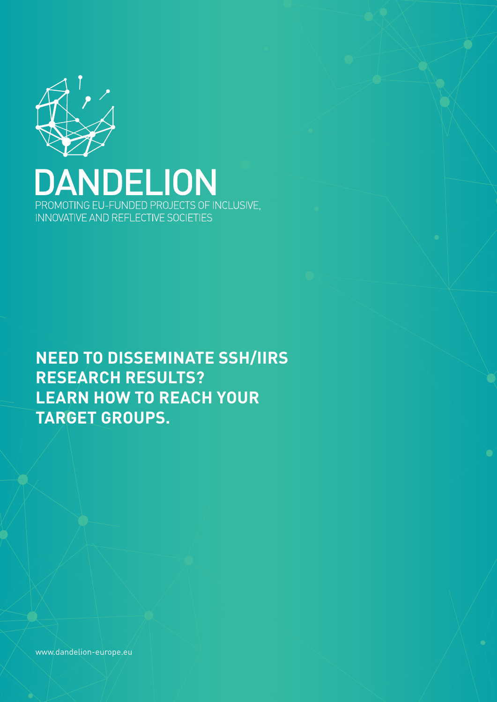

NDELION  $\boldsymbol{\Delta}$ I PROMOTING EU-FUNDED PROJECTS OF INCLUSIVE, INNOVATIVE AND REFLECTIVE SOCIETIES

**NEED TO DISSEMINATE SSH/IIRS RESEARCH RESULTS? LEARN HOW TO REACH YOUR TARGET GROUPS.**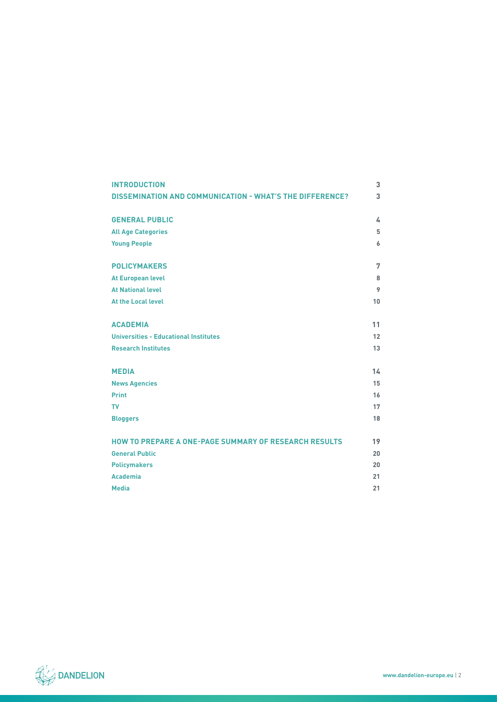| <b>INTRODUCTION</b>                                             | 3  |
|-----------------------------------------------------------------|----|
| <b>DISSEMINATION AND COMMUNICATION - WHAT'S THE DIFFERENCE?</b> | 3  |
|                                                                 |    |
| <b>GENERAL PUBLIC</b>                                           | 4  |
| <b>All Age Categories</b>                                       | 5  |
| <b>Young People</b>                                             | 6  |
| <b>POLICYMAKERS</b>                                             | 7  |
| <b>At European level</b>                                        | 8  |
| <b>At National level</b>                                        | 9  |
| <b>At the Local level</b>                                       | 10 |
|                                                                 |    |
| <b>ACADEMIA</b>                                                 | 11 |
| <b>Universities - Educational Institutes</b>                    | 12 |
| <b>Research Institutes</b>                                      | 13 |
|                                                                 |    |
| <b>MEDIA</b>                                                    | 14 |
| <b>News Agencies</b>                                            | 15 |
| <b>Print</b>                                                    | 16 |
| <b>TV</b>                                                       | 17 |
| <b>Bloggers</b>                                                 | 18 |
| <b>HOW TO PREPARE A ONE-PAGE SUMMARY OF RESEARCH RESULTS</b>    | 19 |
| <b>General Public</b>                                           | 20 |
|                                                                 |    |
| <b>Policymakers</b>                                             | 20 |
| <b>Academia</b>                                                 | 21 |
| <b>Media</b>                                                    | 21 |

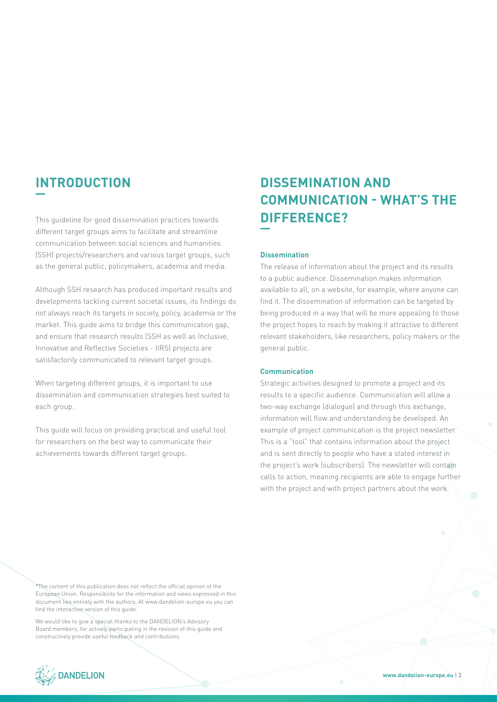This guideline for good dissemination practices towards **DIFFERENCE?** different target groups aims to facilitate and streamline communication between social sciences and humanities (SSH) projects/researchers and various target groups, such as the general public, policymakers, academia and media.

Although SSH research has produced important results and developments tackling current societal issues, its findings do not always reach its targets in society, policy, academia or the market. This guide aims to bridge this communication gap, and ensure that research results (SSH as well as Inclusive, Innovative and Reflective Societies - IIRS) projects are satisfactorily communicated to relevant target groups.

When targeting different groups, it is important to use dissemination and communication strategies best suited to each group.

This guide will focus on providing practical and useful tool for researchers on the best way to communicate their achievements towards different target groups.

# **INTRODUCTION DISSEMINATION AND COMMUNICATION - WHAT'S THE**

#### **Dissemination**

The release of information about the project and its results to a public audience. Dissemination makes information available to all, on a website, for example, where anyone can find it. The dissemination of information can be targeted by being produced in a way that will be more appealing to those the project hopes to reach by making it attractive to different relevant stakeholders, like researchers, policy makers or the general public.

#### **Communication**

Strategic activities designed to promote a project and its results to a specific audience. Communication will allow a two-way exchange (dialogue) and through this exchange, information will flow and understanding be developed. An example of project communication is the project newsletter. This is a "tool" that contains information about the project and is sent directly to people who have a stated interest in the project's work (subscribers). The newsletter will contain calls to action, meaning recipients are able to engage further with the project and with project partners about the work.

\*The content of this publication does not reflect the official opinion of the European Union. Responsibility for the information and views expressed in this document lies entirely with the authors. At www.dandelion-europe.eu you can find the interactive version of this quide.

We would like to give a special thanks to the DANDELION's Advisory Board members, for actively participating in the revision of this guide and constructively provide useful feedback and contributions.

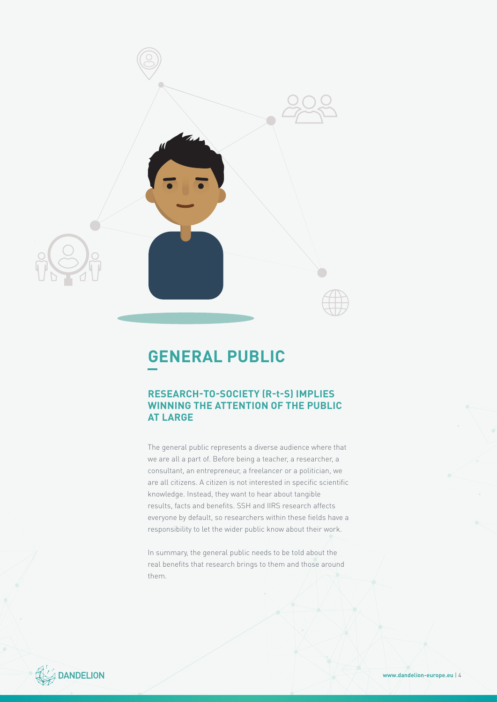

## **GENERAL PUBLIC**

### **RESEARCH-TO-SOCIETY (R-t-S) IMPLIES WINNING THE ATTENTION OF THE PUBLIC AT LARGE**

The general public represents a diverse audience where that we are all a part of. Before being a teacher, a researcher, a consultant, an entrepreneur, a freelancer or a politician, we are all citizens. A citizen is not interested in specific scientific knowledge. Instead, they want to hear about tangible results, facts and benefits. SSH and IIRS research affects everyone by default, so researchers within these fields have a responsibility to let the wider public know about their work.

In summary, the general public needs to be told about the real benefits that research brings to them and those around them.



**www.dandelion-europe.eu** | 4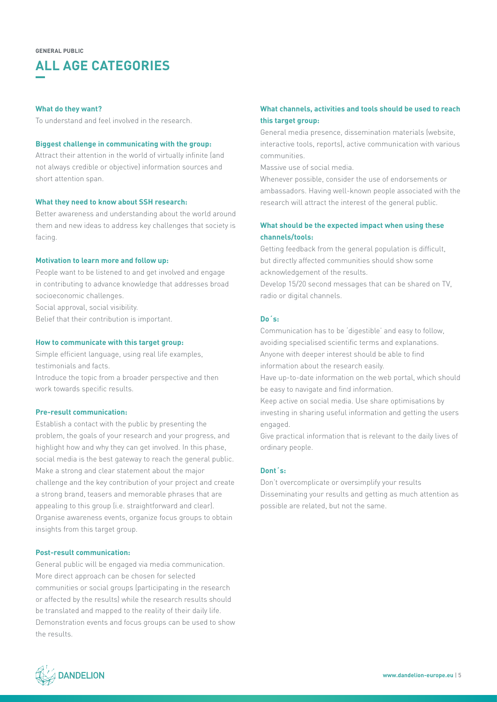## **ALL AGE CATEGORIES**

#### **What do they want?**

To understand and feel involved in the research.

#### **Biggest challenge in communicating with the group:**

Attract their attention in the world of virtually infinite (and not always credible or objective) information sources and short attention span.

#### **What they need to know about SSH research:**

Better awareness and understanding about the world around them and new ideas to address key challenges that society is facing.

#### **Motivation to learn more and follow up:**

People want to be listened to and get involved and engage in contributing to advance knowledge that addresses broad socioeconomic challenges. Social approval, social visibility.

Belief that their contribution is important.

#### **How to communicate with this target group:**

Simple efficient language, using real life examples, testimonials and facts.

Introduce the topic from a broader perspective and then work towards specific results.

#### **Pre-result communication:**

Establish a contact with the public by presenting the problem, the goals of your research and your progress, and highlight how and why they can get involved. In this phase, social media is the best gateway to reach the general public. Make a strong and clear statement about the major challenge and the key contribution of your project and create a strong brand, teasers and memorable phrases that are appealing to this group (i.e. straightforward and clear). Organise awareness events, organize focus groups to obtain insights from this target group.

#### **Post-result communication:**

General public will be engaged via media communication. More direct approach can be chosen for selected communities or social groups (participating in the research or affected by the results) while the research results should be translated and mapped to the reality of their daily life. Demonstration events and focus groups can be used to show the results.

#### **What channels, activities and tools should be used to reach this target group:**

General media presence, dissemination materials (website, interactive tools, reports), active communication with various communities.

Massive use of social media.

Whenever possible, consider the use of endorsements or ambassadors. Having well-known people associated with the research will attract the interest of the general public.

#### **What should be the expected impact when using these channels/tools:**

Getting feedback from the general population is difficult, but directly affected communities should show some acknowledgement of the results.

Develop 15/20 second messages that can be shared on TV, radio or digital channels.

#### **Do´s:**

Communication has to be 'digestible' and easy to follow, avoiding specialised scientific terms and explanations. Anyone with deeper interest should be able to find information about the research easily.

Have up-to-date information on the web portal, which should be easy to navigate and find information.

Keep active on social media. Use share optimisations by investing in sharing useful information and getting the users engaged.

Give practical information that is relevant to the daily lives of ordinary people.

#### **Dont´s:**

Don't overcomplicate or oversimplify your results Disseminating your results and getting as much attention as possible are related, but not the same.

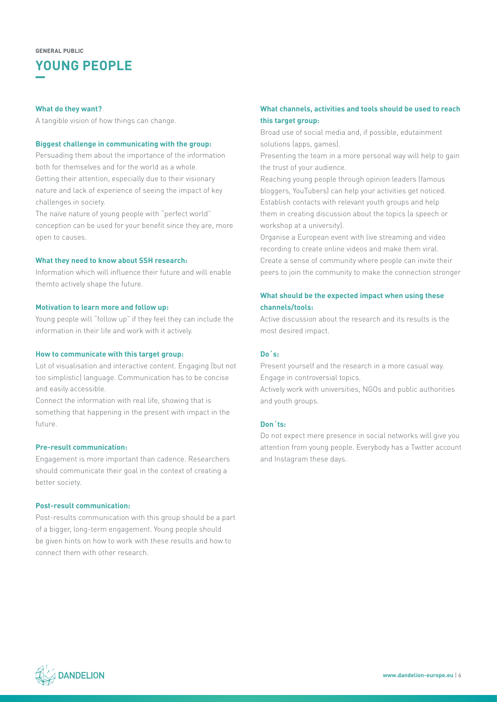## **YOUNG PEOPLE**

#### **What do they want?**

A tangible vision of how things can change.

#### **Biggest challenge in communicating with the group:**

Persuading them about the importance of the information both for themselves and for the world as a whole. Getting their attention, especially due to their visionary nature and lack of experience of seeing the impact of key challenges in society.

The naïve nature of young people with "perfect world" conception can be used for your benefit since they are, more open to causes.

#### **What they need to know about SSH research:**

Information which will influence their future and will enable themto actively shape the future.

#### **Motivation to learn more and follow up:**

Young people will "follow up" if they feel they can include the information in their life and work with it actively.

#### **How to communicate with this target group:**

Lot of visualisation and interactive content. Engaging (but not too simplistic) language. Communication has to be concise and easily accessible.

Connect the information with real life, showing that is something that happening in the present with impact in the future.

#### **Pre-result communication:**

Engagement is more important than cadence. Researchers should communicate their goal in the context of creating a better society.

#### **Post-result communication:**

Post-results communication with this group should be a part of a bigger, long-term engagement. Young people should be given hints on how to work with these results and how to connect them with other research.

#### **What channels, activities and tools should be used to reach this target group:**

Broad use of social media and, if possible, edutainment solutions (apps, games).

Presenting the team in a more personal way will help to gain the trust of your audience.

Reaching young people through opinion leaders (famous bloggers, YouTubers) can help your activities get noticed. Establish contacts with relevant youth groups and help them in creating discussion about the topics (a speech or workshop at a university).

Organise a European event with live streaming and video recording to create online videos and make them viral. Create a sense of community where people can invite their peers to join the community to make the connection stronger

#### **What should be the expected impact when using these channels/tools:**

Active discussion about the research and its results is the most desired impact.

#### **Do´s:**

Present yourself and the research in a more casual way. Engage in controversial topics.

Actively work with universities, NGOs and public authorities and youth groups.

#### **Don´ts:**

Do not expect mere presence in social networks will give you attention from young people. Everybody has a Twitter account and Instagram these days.

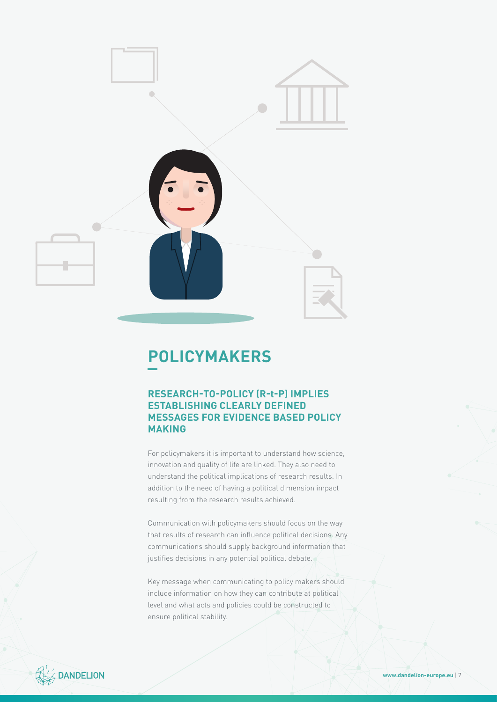

## **POLICYMAKERS**

### **RESEARCH-TO-POLICY (R-t-P) IMPLIES ESTABLISHING CLEARLY DEFINED MESSAGES FOR EVIDENCE BASED POLICY MAKING**

For policymakers it is important to understand how science, innovation and quality of life are linked. They also need to understand the political implications of research results. In addition to the need of having a political dimension impact resulting from the research results achieved.

Communication with policymakers should focus on the way that results of research can influence political decisions. Any communications should supply background information that justifies decisions in any potential political debate.

Key message when communicating to policy makers should include information on how they can contribute at political level and what acts and policies could be constructed to ensure political stability.

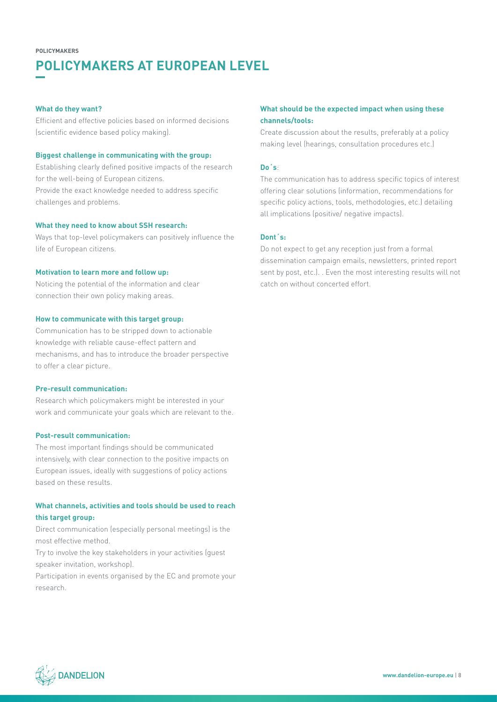## **POLICYMAKERS AT EUROPEAN LEVEL**

#### **What do they want?**

Efficient and effective policies based on informed decisions (scientific evidence based policy making).

#### **Biggest challenge in communicating with the group:**

Establishing clearly defined positive impacts of the research for the well-being of European citizens. Provide the exact knowledge needed to address specific challenges and problems.

#### **What they need to know about SSH research:**

Ways that top-level policymakers can positively influence the life of European citizens.

#### **Motivation to learn more and follow up:**

Noticing the potential of the information and clear connection their own policy making areas.

#### **How to communicate with this target group:**

Communication has to be stripped down to actionable knowledge with reliable cause-effect pattern and mechanisms, and has to introduce the broader perspective to offer a clear picture.

#### **Pre-result communication:**

Research which policymakers might be interested in your work and communicate your goals which are relevant to the.

#### **Post-result communication:**

The most important findings should be communicated intensively, with clear connection to the positive impacts on European issues, ideally with suggestions of policy actions based on these results.

#### **What channels, activities and tools should be used to reach this target group:**

Direct communication (especially personal meetings) is the most effective method.

Try to involve the key stakeholders in your activities (guest speaker invitation, workshop).

Participation in events organised by the EC and promote your research.

#### **What should be the expected impact when using these channels/tools:**

Create discussion about the results, preferably at a policy making level (hearings, consultation procedures etc.)

#### **Do´s**:

The communication has to address specific topics of interest offering clear solutions (information, recommendations for specific policy actions, tools, methodologies, etc.) detailing all implications (positive/ negative impacts).

#### **Dont´s:**

Do not expect to get any reception just from a formal dissemination campaign emails, newsletters, printed report sent by post, etc.). . Even the most interesting results will not catch on without concerted effort.

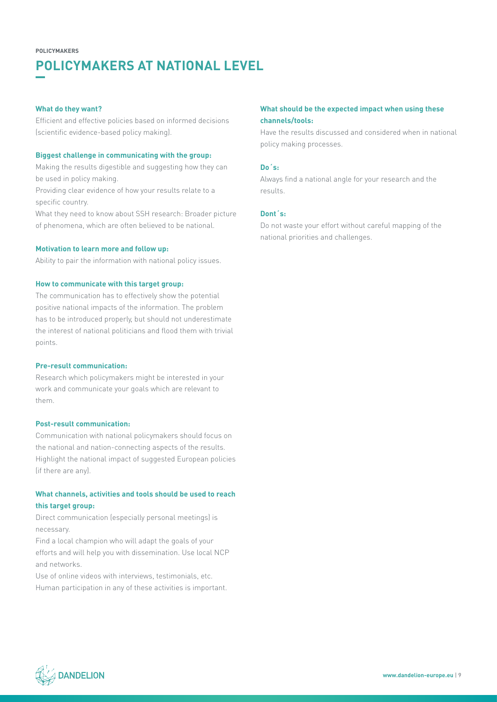## **POLICYMAKERS AT NATIONAL LEVEL**

#### **What do they want?**

Efficient and effective policies based on informed decisions (scientific evidence-based policy making).

#### **Biggest challenge in communicating with the group:**

Making the results digestible and suggesting how they can be used in policy making.

Providing clear evidence of how your results relate to a specific country.

What they need to know about SSH research: Broader picture of phenomena, which are often believed to be national.

#### **Motivation to learn more and follow up:**

Ability to pair the information with national policy issues.

#### **How to communicate with this target group:**

The communication has to effectively show the potential positive national impacts of the information. The problem has to be introduced properly, but should not underestimate the interest of national politicians and flood them with trivial points.

#### **Pre-result communication:**

Research which policymakers might be interested in your work and communicate your goals which are relevant to them.

#### **Post-result communication:**

Communication with national policymakers should focus on the national and nation-connecting aspects of the results. Highlight the national impact of suggested European policies (if there are any).

#### **What channels, activities and tools should be used to reach this target group:**

Direct communication (especially personal meetings) is necessary.

Find a local champion who will adapt the goals of your efforts and will help you with dissemination. Use local NCP and networks.

Use of online videos with interviews, testimonials, etc. Human participation in any of these activities is important.

#### **What should be the expected impact when using these channels/tools:**

Have the results discussed and considered when in national policy making processes.

#### **Do´s:**

Always find a national angle for your research and the results.

#### **Dont´s:**

Do not waste your effort without careful mapping of the national priorities and challenges.

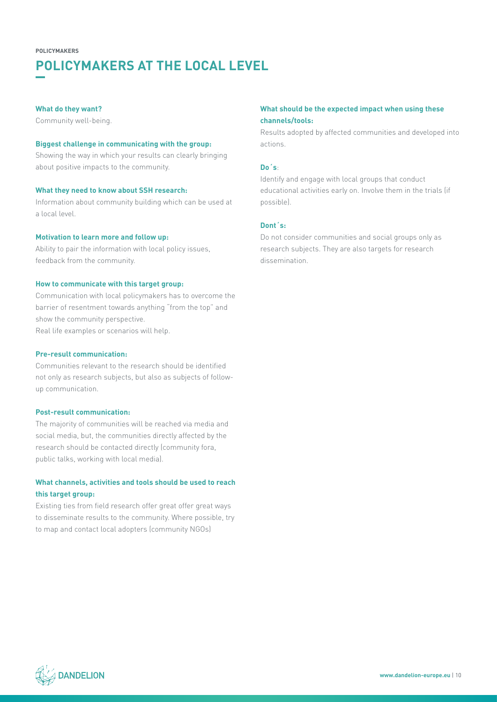## **POLICYMAKERS AT THE LOCAL LEVEL**

#### **What do they want?**

Community well-being.

#### **Biggest challenge in communicating with the group:**

Showing the way in which your results can clearly bringing about positive impacts to the community.

#### **What they need to know about SSH research:**

Information about community building which can be used at a local level.

#### **Motivation to learn more and follow up:**

Ability to pair the information with local policy issues, feedback from the community.

#### **How to communicate with this target group:**

Communication with local policymakers has to overcome the barrier of resentment towards anything "from the top" and show the community perspective. Real life examples or scenarios will help.

#### **Pre-result communication:**

Communities relevant to the research should be identified not only as research subjects, but also as subjects of followup communication.

#### **Post-result communication:**

The majority of communities will be reached via media and social media, but, the communities directly affected by the research should be contacted directly (community fora, public talks, working with local media).

#### **What channels, activities and tools should be used to reach this target group:**

Existing ties from field research offer great offer great ways to disseminate results to the community. Where possible, try to map and contact local adopters (community NGOs)

#### **What should be the expected impact when using these channels/tools:**

Results adopted by affected communities and developed into actions.

#### **Do´s**:

Identify and engage with local groups that conduct educational activities early on. Involve them in the trials (if possible).

#### **Dont´s:**

Do not consider communities and social groups only as research subjects. They are also targets for research dissemination.

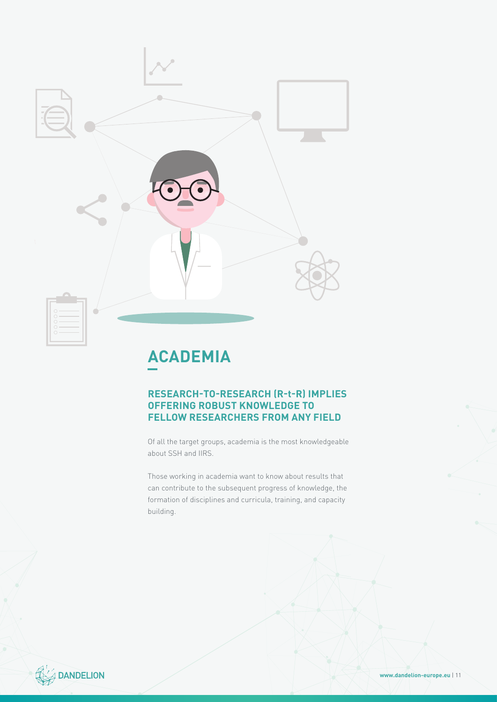

## **ACADEMIA**

### **RESEARCH-TO-RESEARCH (R-t-R) IMPLIES OFFERING ROBUST KNOWLEDGE TO FELLOW RESEARCHERS FROM ANY FIELD**

Of all the target groups, academia is the most knowledgeable about SSH and IIRS.

Those working in academia want to know about results that can contribute to the subsequent progress of knowledge, the formation of disciplines and curricula, training, and capacity building.

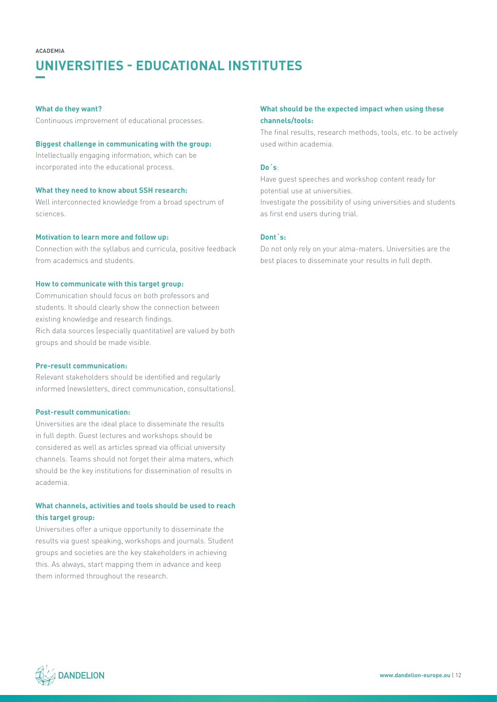### **UNIVERSITIES - EDUCATIONAL INSTITUTES**

#### **What do they want?**

Continuous improvement of educational processes.

#### **Biggest challenge in communicating with the group:**

Intellectually engaging information, which can be incorporated into the educational process.

#### **What they need to know about SSH research:**

Well interconnected knowledge from a broad spectrum of sciences.

#### **Motivation to learn more and follow up:**

Connection with the syllabus and curricula, positive feedback from academics and students.

#### **How to communicate with this target group:**

Communication should focus on both professors and students. It should clearly show the connection between existing knowledge and research findings. Rich data sources (especially quantitative) are valued by both groups and should be made visible.

#### **Pre-result communication:**

Relevant stakeholders should be identified and regularly informed (newsletters, direct communication, consultations).

#### **Post-result communication:**

Universities are the ideal place to disseminate the results in full depth. Guest lectures and workshops should be considered as well as articles spread via official university channels. Teams should not forget their alma maters, which should be the key institutions for dissemination of results in academia.

#### **What channels, activities and tools should be used to reach this target group:**

Universities offer a unique opportunity to disseminate the results via guest speaking, workshops and journals. Student groups and societies are the key stakeholders in achieving this. As always, start mapping them in advance and keep them informed throughout the research.

#### **What should be the expected impact when using these channels/tools:**

The final results, research methods, tools, etc. to be actively used within academia.

#### **Do´s**:

Have guest speeches and workshop content ready for potential use at universities.

Investigate the possibility of using universities and students as first end users during trial.

#### **Dont´s:**

Do not only rely on your alma-maters. Universities are the best places to disseminate your results in full depth.

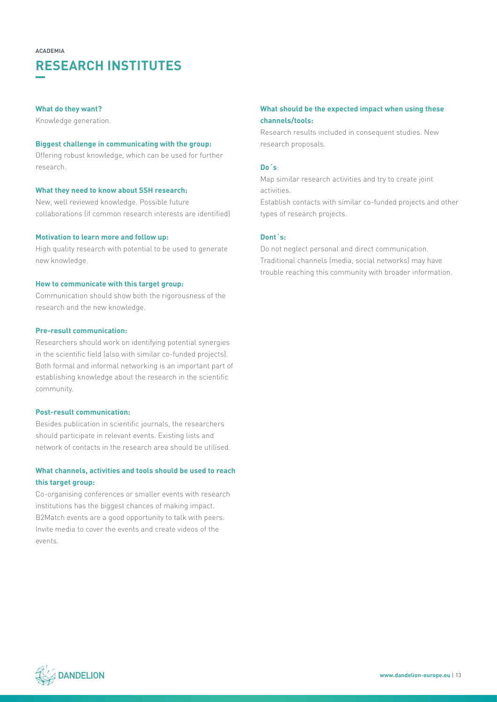## **RESEARCH INSTITUTES**

#### **What do they want?**

Knowledge generation.

#### **Biggest challenge in communicating with the group:**

Offering robust knowledge, which can be used for further research.

#### **What they need to know about SSH research:**

New, well reviewed knowledge. Possible future collaborations (if common research interests are identified)

#### **Motivation to learn more and follow up:**

High quality research with potential to be used to generate new knowledge.

#### **How to communicate with this target group:**

Communication should show both the rigorousness of the research and the new knowledge.

#### **Pre-result communication:**

Researchers should work on identifying potential synergies in the scientific field (also with similar co-funded projects). Both formal and informal networking is an important part of establishing knowledge about the research in the scientific community.

#### **Post-result communication:**

Besides publication in scientific journals, the researchers should participate in relevant events. Existing lists and network of contacts in the research area should be utilised.

#### **What channels, activities and tools should be used to reach this target group:**

Co-organising conferences or smaller events with research institutions has the biggest chances of making impact. B2Match events are a good opportunity to talk with peers. Invite media to cover the events and create videos of the events.

#### **What should be the expected impact when using these channels/tools:**

Research results included in consequent studies. New research proposals.

#### **Do´s**:

Map similar research activities and try to create joint activities.

Establish contacts with similar co-funded projects and other types of research projects.

#### **Dont´s:**

Do not neglect personal and direct communication. Traditional channels (media, social networks) may have trouble reaching this community with broader information.

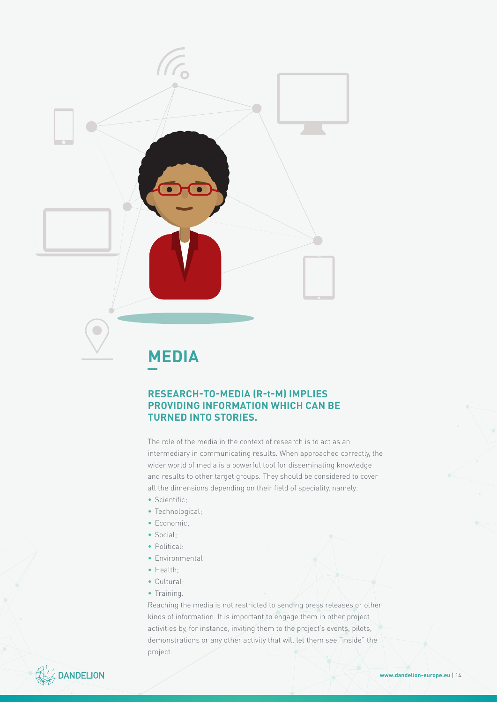

## **MEDIA**

#### **RESEARCH-TO-MEDIA (R-t-M) IMPLIES PROVIDING INFORMATION WHICH CAN BE TURNED INTO STORIES.**

The role of the media in the context of research is to act as an intermediary in communicating results. When approached correctly, the wider world of media is a powerful tool for disseminating knowledge and results to other target groups. They should be considered to cover all the dimensions depending on their field of speciality, namely:

- Scientific;
- Technological;
- Economic;
- Social;
- Political:
- Environmental;
- Health;
- Cultural;
- Training.

Reaching the media is not restricted to sending press releases or other kinds of information. It is important to engage them in other project activities by, for instance, inviting them to the project's events, pilots, demonstrations or any other activity that will let them see "inside" the project.

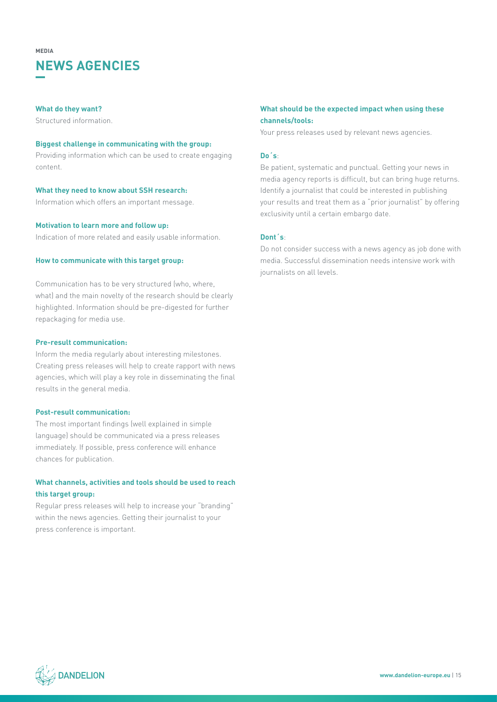### **NEWS AGENCIES MEDIA**

#### **What do they want?**

Structured information.

#### **Biggest challenge in communicating with the group:**

Providing information which can be used to create engaging content.

#### **What they need to know about SSH research:**

Information which offers an important message.

#### **Motivation to learn more and follow up:**

Indication of more related and easily usable information.

#### **How to communicate with this target group:**

Communication has to be very structured (who, where, what) and the main novelty of the research should be clearly highlighted. Information should be pre-digested for further repackaging for media use.

#### **Pre-result communication:**

Inform the media regularly about interesting milestones. Creating press releases will help to create rapport with news agencies, which will play a key role in disseminating the final results in the general media.

#### **Post-result communication:**

The most important findings (well explained in simple language) should be communicated via a press releases immediately. If possible, press conference will enhance chances for publication.

#### **What channels, activities and tools should be used to reach this target group:**

Regular press releases will help to increase your "branding" within the news agencies. Getting their journalist to your press conference is important.

#### **What should be the expected impact when using these channels/tools:**

Your press releases used by relevant news agencies.

#### **Do´s**:

Be patient, systematic and punctual. Getting your news in media agency reports is difficult, but can bring huge returns. Identify a journalist that could be interested in publishing your results and treat them as a "prior journalist" by offering exclusivity until a certain embargo date.

#### **Dont´s**:

Do not consider success with a news agency as job done with media. Successful dissemination needs intensive work with journalists on all levels.

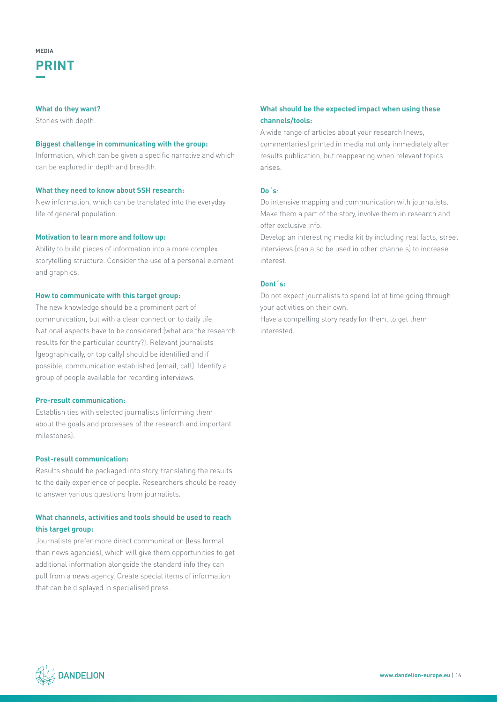#### **What do they want?**

Stories with depth.

#### **Biggest challenge in communicating with the group:**

Information, which can be given a specific narrative and which can be explored in depth and breadth.

#### **What they need to know about SSH research:**

New information, which can be translated into the everyday life of general population.

#### **Motivation to learn more and follow up:**

Ability to build pieces of information into a more complex storytelling structure. Consider the use of a personal element and graphics.

#### **How to communicate with this target group:**

The new knowledge should be a prominent part of communication, but with a clear connection to daily life. National aspects have to be considered (what are the research results for the particular country?). Relevant journalists (geographically, or topically) should be identified and if possible, communication established (email, call). Identify a group of people available for recording interviews.

#### **Pre-result communication:**

Establish ties with selected journalists (informing them about the goals and processes of the research and important milestones).

#### **Post-result communication:**

Results should be packaged into story, translating the results to the daily experience of people. Researchers should be ready to answer various questions from journalists.

#### **What channels, activities and tools should be used to reach this target group:**

Journalists prefer more direct communication (less formal than news agencies), which will give them opportunities to get additional information alongside the standard info they can pull from a news agency. Create special items of information that can be displayed in specialised press.

#### **What should be the expected impact when using these channels/tools:**

A wide range of articles about your research (news, commentaries) printed in media not only immediately after results publication, but reappearing when relevant topics arises.

#### **Do´s**:

Do intensive mapping and communication with journalists. Make them a part of the story, involve them in research and offer exclusive info.

Develop an interesting media kit by including real facts, street interviews (can also be used in other channels) to increase interest.

#### **Dont´s:**

Do not expect journalists to spend lot of time going through your activities on their own.

Have a compelling story ready for them, to get them interested.

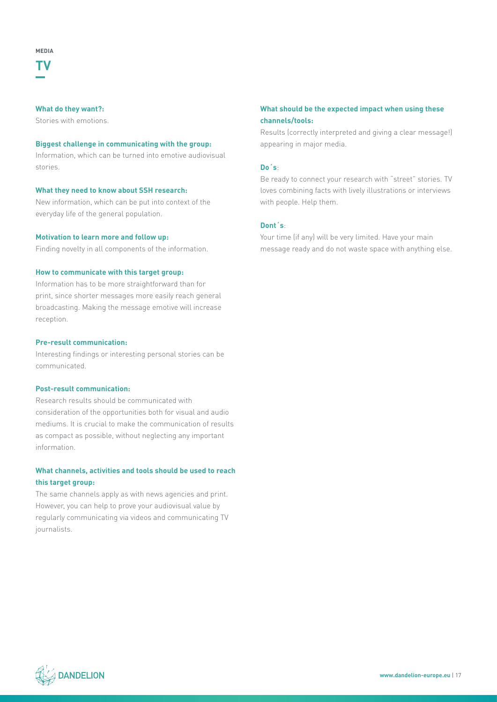**TV**

#### **What do they want?:**

Stories with emotions.

#### **Biggest challenge in communicating with the group:**

Information, which can be turned into emotive audiovisual stories.

#### **What they need to know about SSH research:**

New information, which can be put into context of the everyday life of the general population.

#### **Motivation to learn more and follow up:**

Finding novelty in all components of the information.

#### **How to communicate with this target group:**

Information has to be more straightforward than for print, since shorter messages more easily reach general broadcasting. Making the message emotive will increase reception.

#### **Pre-result communication:**

Interesting findings or interesting personal stories can be communicated.

#### **Post-result communication:**

Research results should be communicated with consideration of the opportunities both for visual and audio mediums. It is crucial to make the communication of results as compact as possible, without neglecting any important information.

#### **What channels, activities and tools should be used to reach this target group:**

The same channels apply as with news agencies and print. However, you can help to prove your audiovisual value by regularly communicating via videos and communicating TV journalists.

#### **What should be the expected impact when using these channels/tools:**

Results (correctly interpreted and giving a clear message!) appearing in major media.

#### **Do´s**:

Be ready to connect your research with "street" stories. TV loves combining facts with lively illustrations or interviews with people. Help them.

#### **Dont´s**:

Your time (if any) will be very limited. Have your main message ready and do not waste space with anything else.

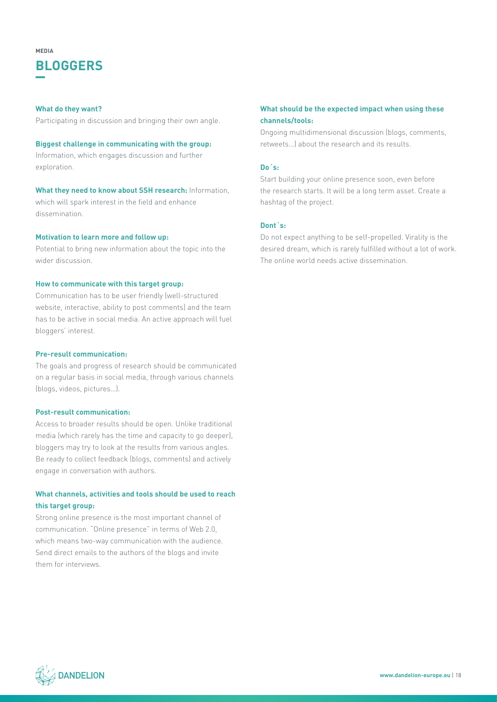### **BLOGGERS MEDIA**

#### **What do they want?**

Participating in discussion and bringing their own angle.

#### **Biggest challenge in communicating with the group:**

Information, which engages discussion and further exploration.

**What they need to know about SSH research:** Information, which will spark interest in the field and enhance dissemination.

#### **Motivation to learn more and follow up:**

Potential to bring new information about the topic into the wider discussion.

#### **How to communicate with this target group:**

Communication has to be user friendly (well-structured website, interactive, ability to post comments) and the team has to be active in social media. An active approach will fuel bloggers' interest.

#### **Pre-result communication:**

The goals and progress of research should be communicated on a regular basis in social media, through various channels (blogs, videos, pictures…).

#### **Post-result communication:**

Access to broader results should be open. Unlike traditional media (which rarely has the time and capacity to go deeper), bloggers may try to look at the results from various angles. Be ready to collect feedback (blogs, comments) and actively engage in conversation with authors.

#### **What channels, activities and tools should be used to reach this target group:**

Strong online presence is the most important channel of communication. "Online presence" in terms of Web 2.0, which means two-way communication with the audience. Send direct emails to the authors of the blogs and invite them for interviews.

#### **What should be the expected impact when using these channels/tools:**

Ongoing multidimensional discussion (blogs, comments, retweets…) about the research and its results.

#### **Do´s:**

Start building your online presence soon, even before the research starts. It will be a long term asset. Create a hashtag of the project.

#### **Dont´s:**

Do not expect anything to be self-propelled. Virality is the desired dream, which is rarely fulfilled without a lot of work. The online world needs active dissemination.

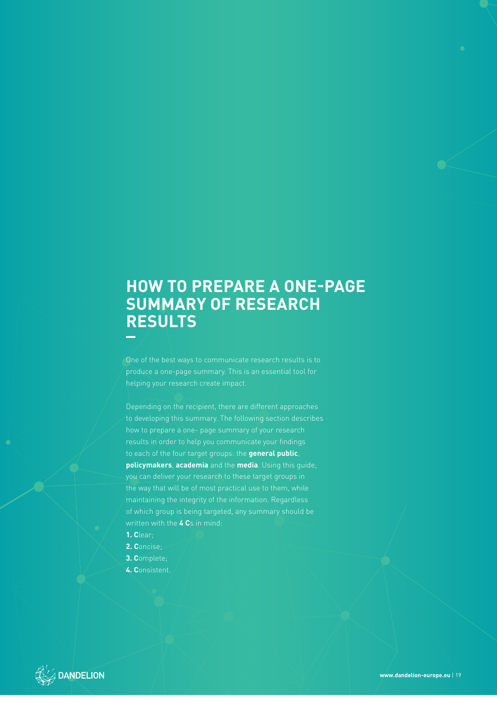### **HOW TO PREPARE A ONE-PAGE SUMMARY OF RESEARCH RESULTS**

One of the best ways to communicate research results is to produce a one-page summary. This is an essential tool for helping your research create impact.

Depending on the recipient, there are different approaches to developing this summary. The following section describes how to prepare a one- page summary of your research to each of the four target groups: the **general public**, **policymakers**, **academia** and the **media**. Using this guide, you can deliver your research to these target groups in maintaining the integrity of the information. Regardless of which group is being targeted, any summary should be written with the **4 C**s in mind:

- **1. C**lear;
- **2. C**oncise;
- **3. C**omplete;
- **4. C**onsistent.

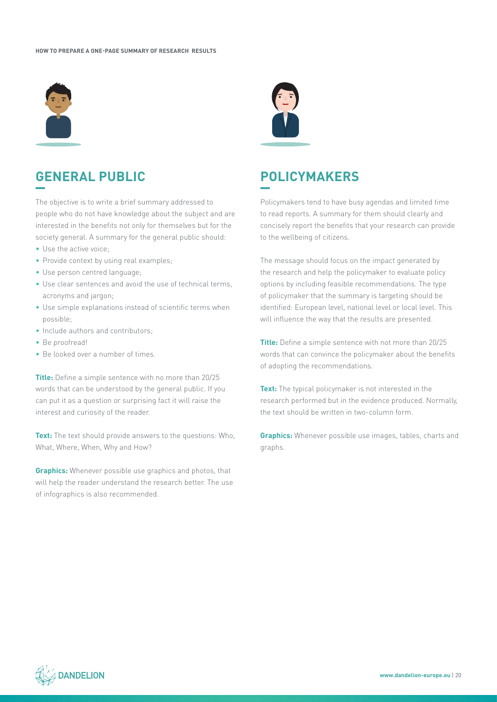

### **GENERAL PUBLIC**

The objective is to write a brief summary addressed to people who do not have knowledge about the subject and are interested in the benefits not only for themselves but for the society general. A summary for the general public should:

- Use the active voice:
- Provide context by using real examples;
- Use person centred language;
- Use clear sentences and avoid the use of technical terms, acronyms and jargon;
- Use simple explanations instead of scientific terms when possible;
- Include authors and contributors;
- Be proofread!
- Be looked over a number of times.

**Title:** Define a simple sentence with no more than 20/25 words that can be understood by the general public. If you can put it as a question or surprising fact it will raise the interest and curiosity of the reader.

**Text:** The text should provide answers to the questions: Who, What, Where, When, Why and How?

**Graphics:** Whenever possible use graphics and photos, that will help the reader understand the research better. The use of infographics is also recommended.



### **POLICYMAKERS**

Policymakers tend to have busy agendas and limited time to read reports. A summary for them should clearly and concisely report the benefits that your research can provide to the wellbeing of citizens.

The message should focus on the impact generated by the research and help the policymaker to evaluate policy options by including feasible recommendations. The type of policymaker that the summary is targeting should be identified: European level, national level or local level. This will influence the way that the results are presented.

**Title:** Define a simple sentence with not more than 20/25 words that can convince the policymaker about the benefits of adopting the recommendations.

**Text:** The typical policymaker is not interested in the research performed but in the evidence produced. Normally, the text should be written in two-column form.

**Graphics:** Whenever possible use images, tables, charts and graphs.

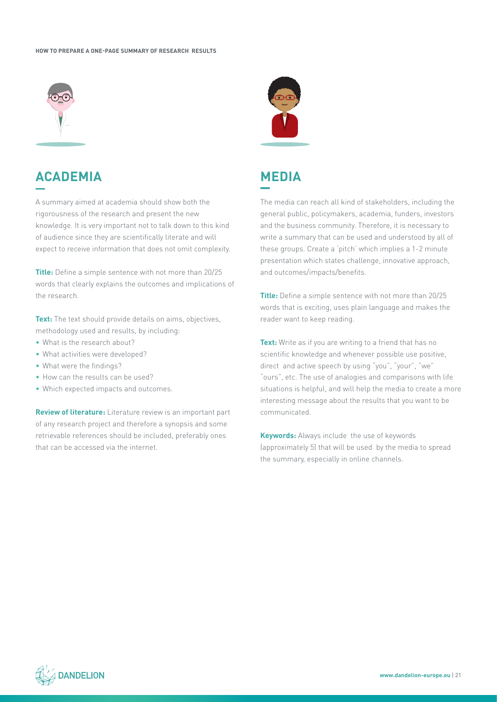#### **HOW TO PREPARE A ONE-PAGE SUMMARY OF RESEARCH RESULTS**



### **ACADEMIA**

A summary aimed at academia should show both the rigorousness of the research and present the new knowledge. It is very important not to talk down to this kind of audience since they are scientifically literate and will expect to receive information that does not omit complexity.

**Title:** Define a simple sentence with not more than 20/25 words that clearly explains the outcomes and implications of the research.

**Text:** The text should provide details on aims, objectives, methodology used and results, by including:

- What is the research about?
- What activities were developed?
- What were the findings?
- How can the results can be used?
- Which expected impacts and outcomes.

**Review of literature:** Literature review is an important part of any research project and therefore a synopsis and some retrievable references should be included, preferably ones that can be accessed via the internet.





The media can reach all kind of stakeholders, including the general public, policymakers, academia, funders, investors and the business community. Therefore, it is necessary to write a summary that can be used and understood by all of these groups. Create a 'pitch' which implies a 1-2 minute presentation which states challenge, innovative approach, and outcomes/impacts/benefits.

**Title:** Define a simple sentence with not more than 20/25 words that is exciting, uses plain language and makes the reader want to keep reading.

**Text:** Write as if you are writing to a friend that has no scientific knowledge and whenever possible use positive, direct and active speech by using "you", "your", "we" "ours", etc. The use of analogies and comparisons with life situations is helpful, and will help the media to create a more interesting message about the results that you want to be communicated.

**Keywords:** Always include the use of keywords (approximately 5) that will be used by the media to spread the summary, especially in online channels.